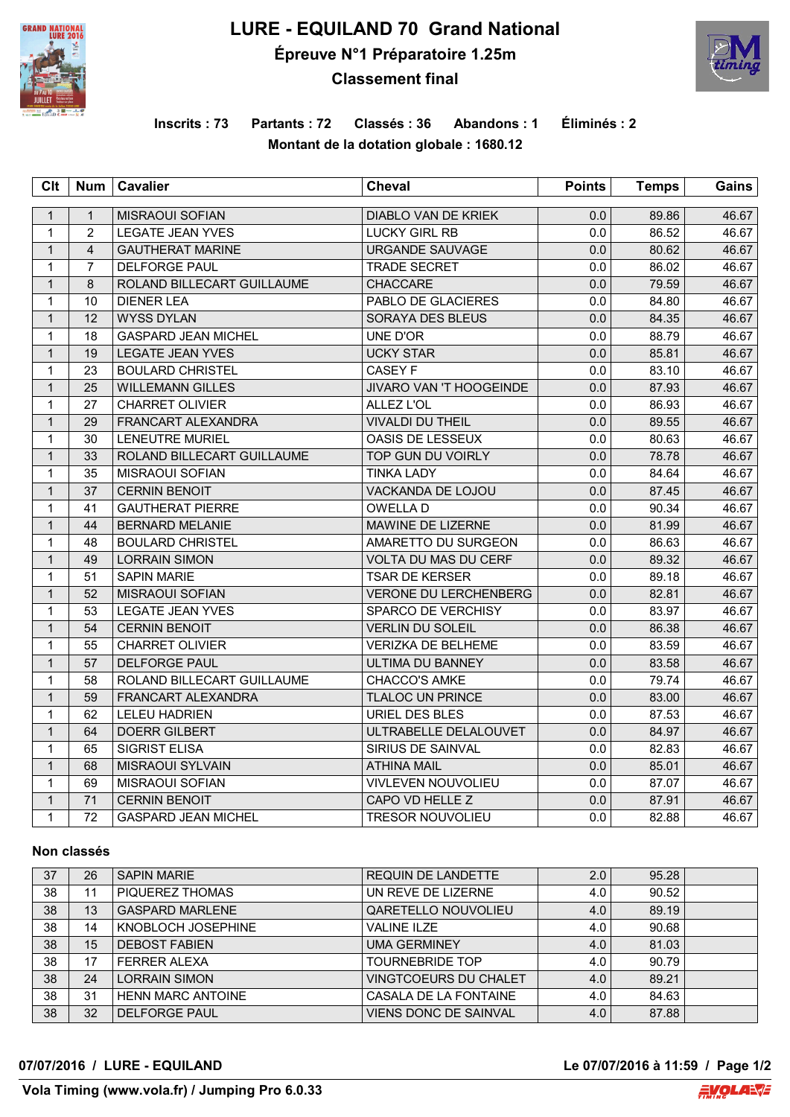

# **LURE - EQUILAND 70 Grand National Épreuve N°1 Préparatoire 1.25m Classement final**



## **Inscrits : 73 Partants : 72 Classés : 36 Abandons : 1 Éliminés : 2 Montant de la dotation globale : 1680.12**

| C <sub>It</sub> | <b>Num</b>     | <b>Cavalier</b>            | <b>Cheval</b>                  | <b>Points</b> | <b>Temps</b> | Gains |
|-----------------|----------------|----------------------------|--------------------------------|---------------|--------------|-------|
| $\mathbf{1}$    | $\mathbf{1}$   | <b>MISRAOUI SOFIAN</b>     | DIABLO VAN DE KRIEK            | 0.0           | 89.86        | 46.67 |
| $\mathbf{1}$    | $\overline{2}$ | <b>LEGATE JEAN YVES</b>    | <b>LUCKY GIRL RB</b>           | 0.0           | 86.52        | 46.67 |
| $\mathbf{1}$    | $\overline{4}$ | <b>GAUTHERAT MARINE</b>    | URGANDE SAUVAGE                | 0.0           | 80.62        | 46.67 |
| $\mathbf{1}$    | $\overline{7}$ | <b>DELFORGE PAUL</b>       | <b>TRADE SECRET</b>            | 0.0           | 86.02        | 46.67 |
| $\mathbf{1}$    | 8              | ROLAND BILLECART GUILLAUME | <b>CHACCARE</b>                | 0.0           | 79.59        | 46.67 |
| $\mathbf{1}$    | 10             | <b>DIENER LEA</b>          | PABLO DE GLACIERES             | 0.0           | 84.80        | 46.67 |
| $\mathbf{1}$    | 12             | <b>WYSS DYLAN</b>          | SORAYA DES BLEUS               | 0.0           | 84.35        | 46.67 |
| $\mathbf{1}$    | 18             | <b>GASPARD JEAN MICHEL</b> | UNE D'OR                       | 0.0           | 88.79        | 46.67 |
| $\mathbf{1}$    | 19             | <b>LEGATE JEAN YVES</b>    | <b>UCKY STAR</b>               | 0.0           | 85.81        | 46.67 |
| $\mathbf{1}$    | 23             | <b>BOULARD CHRISTEL</b>    | <b>CASEY F</b>                 | 0.0           | 83.10        | 46.67 |
| $\mathbf{1}$    | 25             | <b>WILLEMANN GILLES</b>    | <b>JIVARO VAN 'T HOOGEINDE</b> | 0.0           | 87.93        | 46.67 |
| 1               | 27             | <b>CHARRET OLIVIER</b>     | ALLEZ L'OL                     | 0.0           | 86.93        | 46.67 |
| $\mathbf{1}$    | 29             | <b>FRANCART ALEXANDRA</b>  | <b>VIVALDI DU THEIL</b>        | 0.0           | 89.55        | 46.67 |
| 1               | 30             | <b>LENEUTRE MURIEL</b>     | OASIS DE LESSEUX               | 0.0           | 80.63        | 46.67 |
| $\mathbf{1}$    | 33             | ROLAND BILLECART GUILLAUME | TOP GUN DU VOIRLY              | 0.0           | 78.78        | 46.67 |
| $\mathbf{1}$    | 35             | <b>MISRAOUI SOFIAN</b>     | <b>TINKA LADY</b>              | 0.0           | 84.64        | 46.67 |
| $\mathbf{1}$    | 37             | <b>CERNIN BENOIT</b>       | <b>VACKANDA DE LOJOU</b>       | 0.0           | 87.45        | 46.67 |
| $\mathbf{1}$    | 41             | <b>GAUTHERAT PIERRE</b>    | OWELLA D                       | 0.0           | 90.34        | 46.67 |
| $\mathbf{1}$    | 44             | <b>BERNARD MELANIE</b>     | <b>MAWINE DE LIZERNE</b>       | 0.0           | 81.99        | 46.67 |
| $\mathbf{1}$    | 48             | <b>BOULARD CHRISTEL</b>    | AMARETTO DU SURGEON            | 0.0           | 86.63        | 46.67 |
| $\mathbf{1}$    | 49             | <b>LORRAIN SIMON</b>       | VOLTA DU MAS DU CERF           | 0.0           | 89.32        | 46.67 |
| $\mathbf{1}$    | 51             | <b>SAPIN MARIE</b>         | <b>TSAR DE KERSER</b>          | 0.0           | 89.18        | 46.67 |
| $\mathbf{1}$    | 52             | <b>MISRAOUI SOFIAN</b>     | <b>VERONE DU LERCHENBERG</b>   | 0.0           | 82.81        | 46.67 |
| $\mathbf{1}$    | 53             | <b>LEGATE JEAN YVES</b>    | <b>SPARCO DE VERCHISY</b>      | 0.0           | 83.97        | 46.67 |
| $\mathbf{1}$    | 54             | <b>CERNIN BENOIT</b>       | <b>VERLIN DU SOLEIL</b>        | 0.0           | 86.38        | 46.67 |
| $\mathbf{1}$    | 55             | <b>CHARRET OLIVIER</b>     | <b>VERIZKA DE BELHEME</b>      | 0.0           | 83.59        | 46.67 |
| $\mathbf{1}$    | 57             | <b>DELFORGE PAUL</b>       | ULTIMA DU BANNEY               | 0.0           | 83.58        | 46.67 |
| $\mathbf{1}$    | 58             | ROLAND BILLECART GUILLAUME | CHACCO'S AMKE                  | 0.0           | 79.74        | 46.67 |
| $\mathbf{1}$    | 59             | <b>FRANCART ALEXANDRA</b>  | <b>TLALOC UN PRINCE</b>        | 0.0           | 83.00        | 46.67 |
| $\mathbf{1}$    | 62             | <b>LELEU HADRIEN</b>       | URIEL DES BLES                 | 0.0           | 87.53        | 46.67 |
| $\mathbf{1}$    | 64             | <b>DOERR GILBERT</b>       | ULTRABELLE DELALOUVET          | 0.0           | 84.97        | 46.67 |
| $\mathbf{1}$    | 65             | <b>SIGRIST ELISA</b>       | SIRIUS DE SAINVAL              | 0.0           | 82.83        | 46.67 |
| $\mathbf{1}$    | 68             | MISRAOUI SYLVAIN           | <b>ATHINA MAIL</b>             | 0.0           | 85.01        | 46.67 |
| $\mathbf{1}$    | 69             | MISRAOUI SOFIAN            | VIVLEVEN NOUVOLIEU             | 0.0           | 87.07        | 46.67 |
| $\mathbf{1}$    | 71             | <b>CERNIN BENOIT</b>       | CAPO VD HELLE Z                | 0.0           | 87.91        | 46.67 |
| $\mathbf{1}$    | 72             | <b>GASPARD JEAN MICHEL</b> | <b>TRESOR NOUVOLIEU</b>        | 0.0           | 82.88        | 46.67 |

#### **Non classés**

| 37 | 26 | <b>SAPIN MARIE</b>       | <b>REQUIN DE LANDETTE</b>    | 2.0 | 95.28 |  |
|----|----|--------------------------|------------------------------|-----|-------|--|
| 38 | 11 | PIQUEREZ THOMAS          | UN REVE DE LIZERNE           | 4.0 | 90.52 |  |
| 38 | 13 | <b>GASPARD MARLENE</b>   | QARETELLO NOUVOLIEU          | 4.0 | 89.19 |  |
| 38 | 14 | KNOBLOCH JOSEPHINE       | <b>VALINE ILZE</b>           | 4.0 | 90.68 |  |
| 38 | 15 | <b>DEBOST FABIEN</b>     | UMA GERMINEY                 | 4.0 | 81.03 |  |
| 38 | 17 | <b>FERRER ALEXA</b>      | <b>TOURNEBRIDE TOP</b>       | 4.0 | 90.79 |  |
| 38 | 24 | LORRAIN SIMON            | VINGTCOEURS DU CHALET        | 4.0 | 89.21 |  |
| 38 | 31 | <b>HENN MARC ANTOINE</b> | CASALA DE LA FONTAINE        | 4.0 | 84.63 |  |
| 38 | 32 | <b>DELFORGE PAUL</b>     | <b>VIENS DONC DE SAINVAL</b> | 4.0 | 87.88 |  |

**07/07/2016 / LURE - EQUILAND Le 07/07/2016 à 11:59 / Page 1/2**